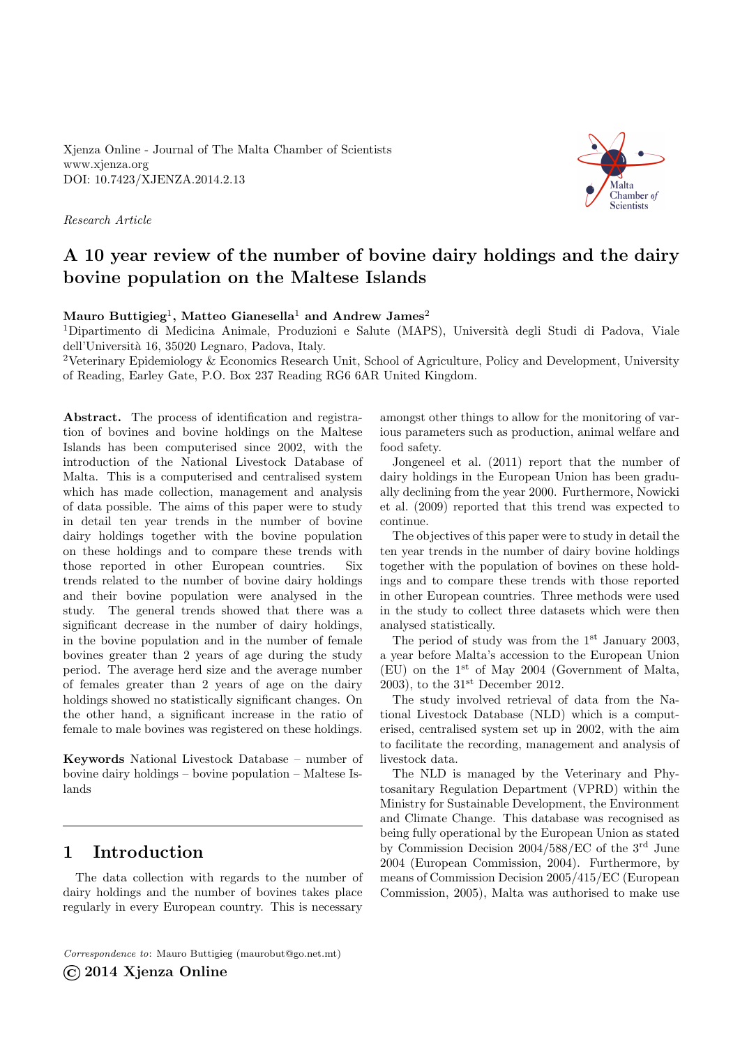Xjenza Online - Journal of The Malta Chamber of Scientists <www.xjenza.org> DOI:<10.7423/XJENZA.2014.2.13>

Research Article



# A 10 year review of the number of bovine dairy holdings and the dairy bovine population on the Maltese Islands

### Mauro Buttigieg $^1,$  Matteo Gianesella $^1$  and Andrew James $^2$

<sup>1</sup>Dipartimento di Medicina Animale, Produzioni e Salute (MAPS), Università degli Studi di Padova, Viale dell'Universit`a 16, 35020 Legnaro, Padova, Italy.

<sup>2</sup>Veterinary Epidemiology & Economics Research Unit, School of Agriculture, Policy and Development, University of Reading, Earley Gate, P.O. Box 237 Reading RG6 6AR United Kingdom.

Abstract. The process of identification and registration of bovines and bovine holdings on the Maltese Islands has been computerised since 2002, with the introduction of the National Livestock Database of Malta. This is a computerised and centralised system which has made collection, management and analysis of data possible. The aims of this paper were to study in detail ten year trends in the number of bovine dairy holdings together with the bovine population on these holdings and to compare these trends with those reported in other European countries. Six trends related to the number of bovine dairy holdings and their bovine population were analysed in the study. The general trends showed that there was a significant decrease in the number of dairy holdings, in the bovine population and in the number of female bovines greater than 2 years of age during the study period. The average herd size and the average number of females greater than 2 years of age on the dairy holdings showed no statistically significant changes. On the other hand, a significant increase in the ratio of female to male bovines was registered on these holdings.

Keywords National Livestock Database – number of bovine dairy holdings – bovine population – Maltese Islands

# 1 Introduction

The data collection with regards to the number of dairy holdings and the number of bovines takes place regularly in every European country. This is necessary

Correspondence to: Mauro Buttigieg [\(maurobut@go.net.mt\)](mailto:maurobut@go.net.mt) ©2014 Xjenza Online

amongst other things to allow for the monitoring of various parameters such as production, animal welfare and food safety.

Jongeneel et al. [\(2011\)](#page-7-0) report that the number of dairy holdings in the European Union has been gradually declining from the year 2000. Furthermore, Nowicki et al. [\(2009\)](#page-7-1) reported that this trend was expected to continue.

The objectives of this paper were to study in detail the ten year trends in the number of dairy bovine holdings together with the population of bovines on these holdings and to compare these trends with those reported in other European countries. Three methods were used in the study to collect three datasets which were then analysed statistically.

The period of study was from the  $1<sup>st</sup>$  January 2003, a year before Malta's accession to the European Union (EU) on the 1st of May 2004 (Government of Malta, [2003\)](#page-6-0), to the  $31<sup>st</sup>$  December 2012.

The study involved retrieval of data from the National Livestock Database (NLD) which is a computerised, centralised system set up in 2002, with the aim to facilitate the recording, management and analysis of livestock data.

The NLD is managed by the Veterinary and Phytosanitary Regulation Department (VPRD) within the Ministry for Sustainable Development, the Environment and Climate Change. This database was recognised as being fully operational by the European Union as stated by Commission Decision 2004/588/EC of the 3rd June 2004 (European Commission, [2004\)](#page-6-1). Furthermore, by means of Commission Decision 2005/415/EC (European Commission, [2005\)](#page-6-2), Malta was authorised to make use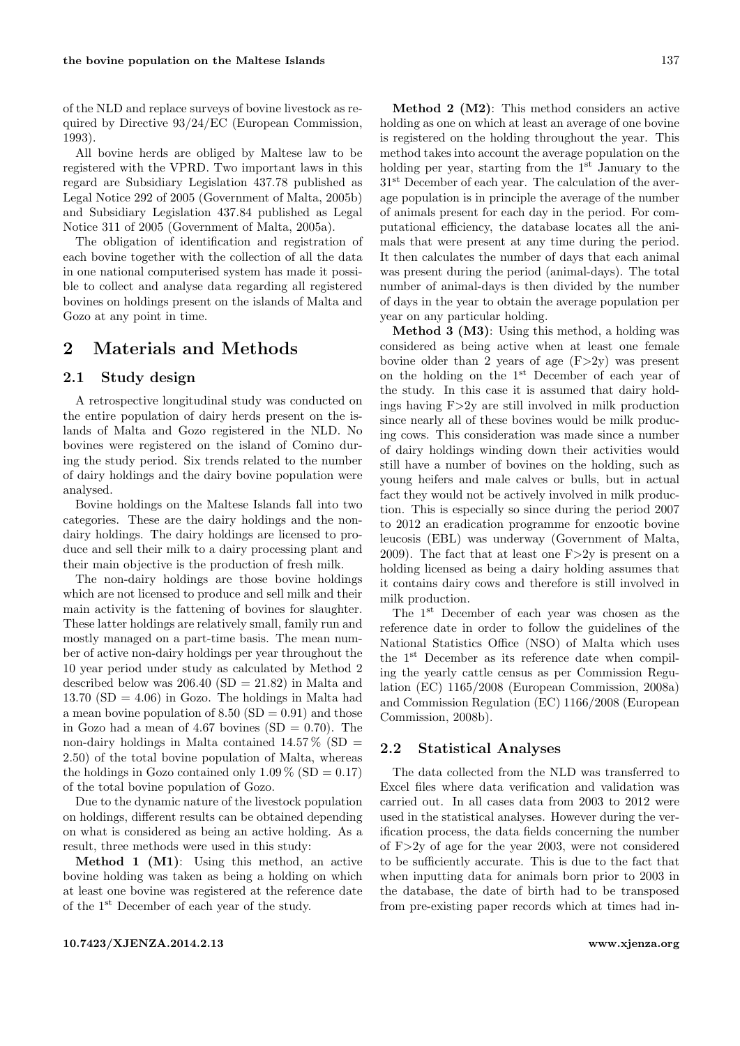of the NLD and replace surveys of bovine livestock as required by Directive 93/24/EC (European Commission, [1993\)](#page-6-3).

All bovine herds are obliged by Maltese law to be registered with the VPRD. Two important laws in this regard are Subsidiary Legislation 437.78 published as Legal Notice 292 of 2005 (Government of Malta, [2005b\)](#page-6-4) and Subsidiary Legislation 437.84 published as Legal Notice 311 of 2005 (Government of Malta, [2005a\)](#page-6-5).

The obligation of identification and registration of each bovine together with the collection of all the data in one national computerised system has made it possible to collect and analyse data regarding all registered bovines on holdings present on the islands of Malta and Gozo at any point in time.

### 2 Materials and Methods

### 2.1 Study design

A retrospective longitudinal study was conducted on the entire population of dairy herds present on the islands of Malta and Gozo registered in the NLD. No bovines were registered on the island of Comino during the study period. Six trends related to the number of dairy holdings and the dairy bovine population were analysed.

Bovine holdings on the Maltese Islands fall into two categories. These are the dairy holdings and the nondairy holdings. The dairy holdings are licensed to produce and sell their milk to a dairy processing plant and their main objective is the production of fresh milk.

The non-dairy holdings are those bovine holdings which are not licensed to produce and sell milk and their main activity is the fattening of bovines for slaughter. These latter holdings are relatively small, family run and mostly managed on a part-time basis. The mean number of active non-dairy holdings per year throughout the 10 year period under study as calculated by Method 2 described below was  $206.40$  (SD =  $21.82$ ) in Malta and 13.70  $(SD = 4.06)$  in Gozo. The holdings in Malta had a mean bovine population of  $8.50$  (SD = 0.91) and those in Gozo had a mean of 4.67 bovines  $(SD = 0.70)$ . The non-dairy holdings in Malta contained  $14.57\%$  (SD = 2.50) of the total bovine population of Malta, whereas the holdings in Gozo contained only  $1.09\%$  (SD = 0.17) of the total bovine population of Gozo.

Due to the dynamic nature of the livestock population on holdings, different results can be obtained depending on what is considered as being an active holding. As a result, three methods were used in this study:

Method 1 (M1): Using this method, an active bovine holding was taken as being a holding on which at least one bovine was registered at the reference date of the 1st December of each year of the study.

Method 2 (M2): This method considers an active holding as one on which at least an average of one bovine is registered on the holding throughout the year. This method takes into account the average population on the holding per year, starting from the  $1<sup>st</sup>$  January to the 31<sup>st</sup> December of each year. The calculation of the average population is in principle the average of the number of animals present for each day in the period. For computational efficiency, the database locates all the animals that were present at any time during the period. It then calculates the number of days that each animal was present during the period (animal-days). The total number of animal-days is then divided by the number of days in the year to obtain the average population per year on any particular holding.

Method 3 (M3): Using this method, a holding was considered as being active when at least one female bovine older than 2 years of age  $(F>2y)$  was present on the holding on the 1st December of each year of the study. In this case it is assumed that dairy holdings having F>2y are still involved in milk production since nearly all of these bovines would be milk producing cows. This consideration was made since a number of dairy holdings winding down their activities would still have a number of bovines on the holding, such as young heifers and male calves or bulls, but in actual fact they would not be actively involved in milk production. This is especially so since during the period 2007 to 2012 an eradication programme for enzootic bovine leucosis (EBL) was underway (Government of Malta, [2009\)](#page-7-2). The fact that at least one  $F>2y$  is present on a holding licensed as being a dairy holding assumes that it contains dairy cows and therefore is still involved in milk production.

The 1st December of each year was chosen as the reference date in order to follow the guidelines of the National Statistics Office (NSO) of Malta which uses the 1st December as its reference date when compiling the yearly cattle census as per Commission Regulation (EC) 1165/2008 (European Commission, [2008a\)](#page-6-6) and Commission Regulation (EC) 1166/2008 (European Commission, [2008b\)](#page-6-7).

### 2.2 Statistical Analyses

The data collected from the NLD was transferred to Excel files where data verification and validation was carried out. In all cases data from 2003 to 2012 were used in the statistical analyses. However during the verification process, the data fields concerning the number of F>2y of age for the year 2003, were not considered to be sufficiently accurate. This is due to the fact that when inputting data for animals born prior to 2003 in the database, the date of birth had to be transposed from pre-existing paper records which at times had in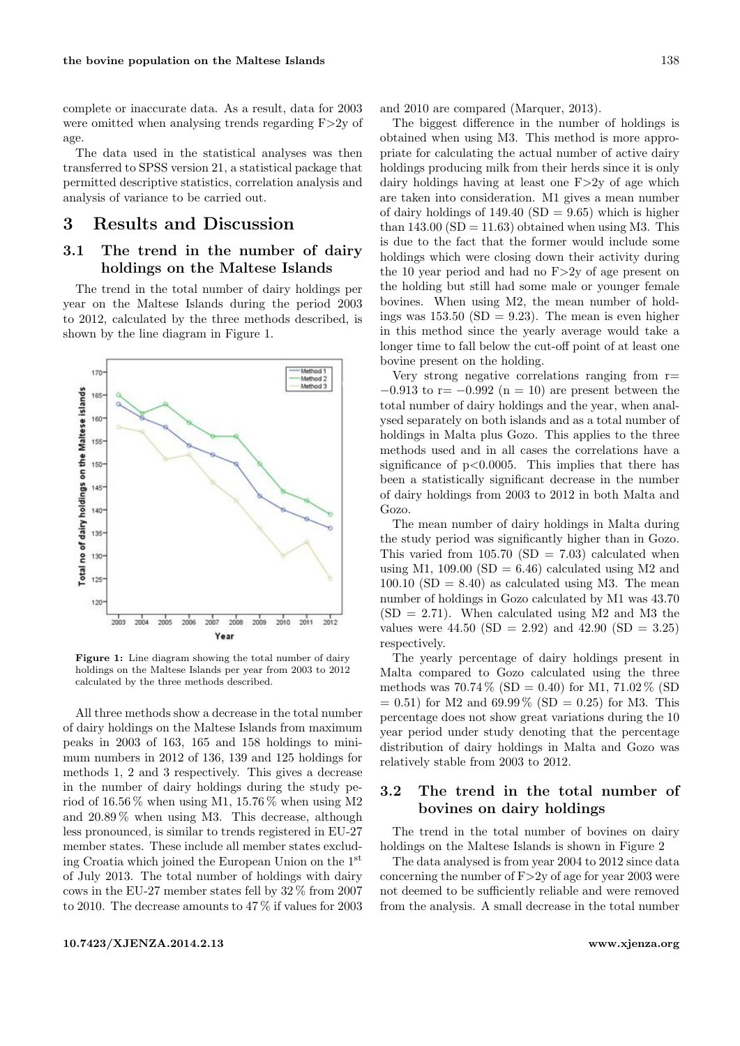complete or inaccurate data. As a result, data for 2003 were omitted when analysing trends regarding F>2y of age.

The data used in the statistical analyses was then transferred to SPSS version 21, a statistical package that permitted descriptive statistics, correlation analysis and analysis of variance to be carried out.

# 3 Results and Discussion

### 3.1 The trend in the number of dairy holdings on the Maltese Islands

The trend in the total number of dairy holdings per year on the Maltese Islands during the period 2003 to 2012, calculated by the three methods described, is shown by the line diagram in Figure [1.](#page-2-0)

<span id="page-2-0"></span>

Figure 1: Line diagram showing the total number of dairy holdings on the Maltese Islands per year from 2003 to 2012 calculated by the three methods described.

All three methods show a decrease in the total number of dairy holdings on the Maltese Islands from maximum peaks in 2003 of 163, 165 and 158 holdings to minimum numbers in 2012 of 136, 139 and 125 holdings for methods 1, 2 and 3 respectively. This gives a decrease in the number of dairy holdings during the study period of  $16.56\%$  when using M1,  $15.76\%$  when using M2 and 20.89 % when using M3. This decrease, although less pronounced, is similar to trends registered in EU-27 member states. These include all member states excluding Croatia which joined the European Union on the 1st of July 2013. The total number of holdings with dairy cows in the EU-27 member states fell by 32 % from 2007 to 2010. The decrease amounts to 47 % if values for 2003 and 2010 are compared (Marquer, [2013\)](#page-7-3).

The biggest difference in the number of holdings is obtained when using M3. This method is more appropriate for calculating the actual number of active dairy holdings producing milk from their herds since it is only dairy holdings having at least one F>2y of age which are taken into consideration. M1 gives a mean number of dairy holdings of  $149.40$  (SD = 9.65) which is higher than  $143.00$  (SD = 11.63) obtained when using M3. This is due to the fact that the former would include some holdings which were closing down their activity during the 10 year period and had no  $F > 2y$  of age present on the holding but still had some male or younger female bovines. When using M2, the mean number of holdings was  $153.50$  (SD = 9.23). The mean is even higher in this method since the yearly average would take a longer time to fall below the cut-off point of at least one bovine present on the holding.

Very strong negative correlations ranging from r=  $-0.913$  to r=  $-0.992$  (n = 10) are present between the total number of dairy holdings and the year, when analysed separately on both islands and as a total number of holdings in Malta plus Gozo. This applies to the three methods used and in all cases the correlations have a significance of  $p<0.0005$ . This implies that there has been a statistically significant decrease in the number of dairy holdings from 2003 to 2012 in both Malta and Gozo.

The mean number of dairy holdings in Malta during the study period was significantly higher than in Gozo. This varied from  $105.70$  (SD = 7.03) calculated when using M1, 109.00 (SD = 6.46) calculated using M2 and  $100.10$  (SD = 8.40) as calculated using M3. The mean number of holdings in Gozo calculated by M1 was 43.70  $(SD = 2.71)$ . When calculated using M2 and M3 the values were  $44.50$  (SD = 2.92) and  $42.90$  (SD = 3.25) respectively.

The yearly percentage of dairy holdings present in Malta compared to Gozo calculated using the three methods was  $70.74\%$  (SD = 0.40) for M1,  $71.02\%$  (SD  $= 0.51$ ) for M2 and 69.99 % (SD  $= 0.25$ ) for M3. This percentage does not show great variations during the 10 year period under study denoting that the percentage distribution of dairy holdings in Malta and Gozo was relatively stable from 2003 to 2012.

### 3.2 The trend in the total number of bovines on dairy holdings

The trend in the total number of bovines on dairy holdings on the Maltese Islands is shown in Figure [2](#page-3-0)

The data analysed is from year 2004 to 2012 since data concerning the number of F>2y of age for year 2003 were not deemed to be sufficiently reliable and were removed from the analysis. A small decrease in the total number

#### <10.7423/XJENZA.2014.2.13><www.xjenza.org>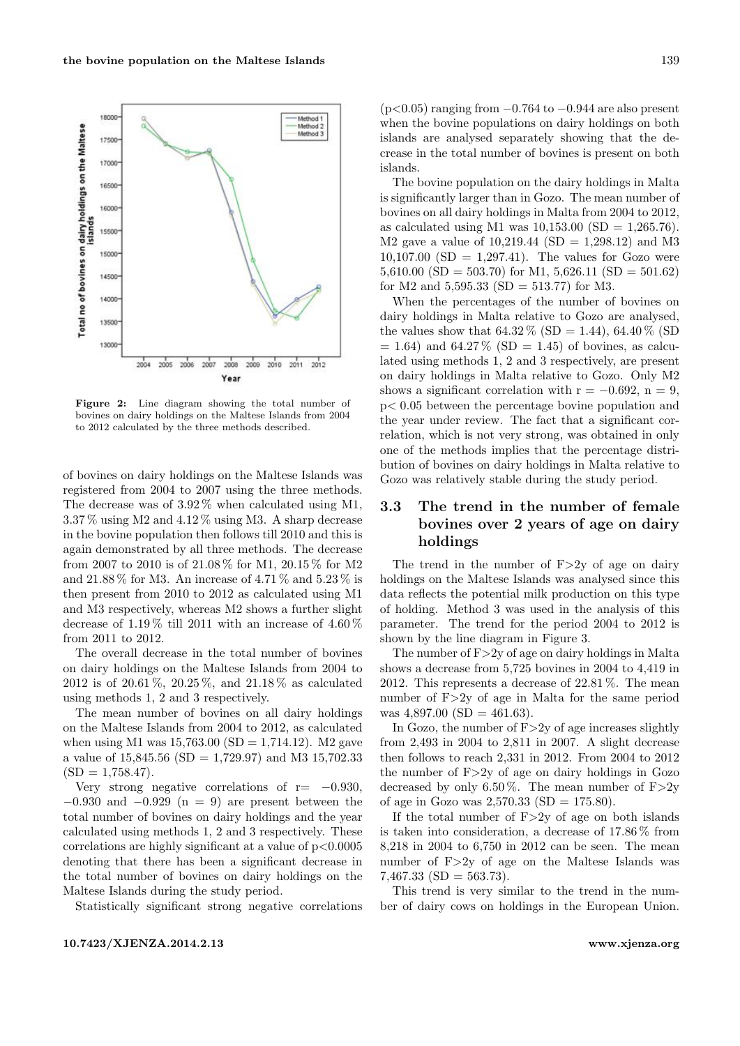<span id="page-3-0"></span>

Figure 2: Line diagram showing the total number of bovines on dairy holdings on the Maltese Islands from 2004 to 2012 calculated by the three methods described.

of bovines on dairy holdings on the Maltese Islands was registered from 2004 to 2007 using the three methods. The decrease was of 3.92 % when calculated using M1, 3.37 % using M2 and 4.12 % using M3. A sharp decrease in the bovine population then follows till 2010 and this is again demonstrated by all three methods. The decrease from 2007 to 2010 is of 21.08 % for M1, 20.15 % for M2 and 21.88  $\%$  for M3. An increase of 4.71  $\%$  and 5.23  $\%$  is then present from 2010 to 2012 as calculated using M1 and M3 respectively, whereas M2 shows a further slight decrease of  $1.19\%$  till 2011 with an increase of  $4.60\%$ from 2011 to 2012.

The overall decrease in the total number of bovines on dairy holdings on the Maltese Islands from 2004 to 2012 is of 20.61 %, 20.25 %, and 21.18 % as calculated using methods 1, 2 and 3 respectively.

The mean number of bovines on all dairy holdings on the Maltese Islands from 2004 to 2012, as calculated when using M1 was  $15,763.00$  (SD = 1,714.12). M2 gave a value of  $15,845.56$  (SD = 1,729.97) and M3 15,702.33  $(SD = 1,758.47).$ 

Very strong negative correlations of  $r=-0.930$ ,  $-0.930$  and  $-0.929$  (n = 9) are present between the total number of bovines on dairy holdings and the year calculated using methods 1, 2 and 3 respectively. These correlations are highly significant at a value of  $p < 0.0005$ denoting that there has been a significant decrease in the total number of bovines on dairy holdings on the Maltese Islands during the study period.

Statistically significant strong negative correlations

(p<0.05) ranging from −0.764 to −0.944 are also present when the bovine populations on dairy holdings on both islands are analysed separately showing that the decrease in the total number of bovines is present on both islands.

The bovine population on the dairy holdings in Malta is significantly larger than in Gozo. The mean number of bovines on all dairy holdings in Malta from 2004 to 2012, as calculated using M1 was  $10,153.00$  (SD = 1,265.76). M2 gave a value of  $10,219.44$  (SD = 1,298.12) and M3  $10,107.00$  (SD = 1,297.41). The values for Gozo were 5,610.00 (SD = 503.70) for M1, 5,626.11 (SD = 501.62) for M2 and  $5,595.33$  (SD = 513.77) for M3.

When the percentages of the number of bovines on dairy holdings in Malta relative to Gozo are analysed, the values show that  $64.32\%$  (SD = 1.44),  $64.40\%$  (SD  $= 1.64$ ) and 64.27% (SD  $= 1.45$ ) of bovines, as calculated using methods 1, 2 and 3 respectively, are present on dairy holdings in Malta relative to Gozo. Only M2 shows a significant correlation with  $r = -0.692$ ,  $n = 9$ , p< 0.05 between the percentage bovine population and the year under review. The fact that a significant correlation, which is not very strong, was obtained in only one of the methods implies that the percentage distribution of bovines on dairy holdings in Malta relative to Gozo was relatively stable during the study period.

# 3.3 The trend in the number of female bovines over 2 years of age on dairy holdings

The trend in the number of  $F > 2y$  of age on dairy holdings on the Maltese Islands was analysed since this data reflects the potential milk production on this type of holding. Method 3 was used in the analysis of this parameter. The trend for the period 2004 to 2012 is shown by the line diagram in Figure [3.](#page-4-0)

The number of F>2y of age on dairy holdings in Malta shows a decrease from 5,725 bovines in 2004 to 4,419 in 2012. This represents a decrease of 22.81 %. The mean number of F>2y of age in Malta for the same period was  $4,897.00$  (SD =  $461.63$ ).

In Gozo, the number of  $F > 2y$  of age increases slightly from 2,493 in 2004 to 2,811 in 2007. A slight decrease then follows to reach 2,331 in 2012. From 2004 to 2012 the number of F>2y of age on dairy holdings in Gozo decreased by only 6.50%. The mean number of  $F>2y$ of age in Gozo was  $2,570.33$  (SD = 175.80).

If the total number of  $F > 2y$  of age on both islands is taken into consideration, a decrease of 17.86 % from 8,218 in 2004 to 6,750 in 2012 can be seen. The mean number of F>2y of age on the Maltese Islands was  $7,467.33$  (SD = 563.73).

This trend is very similar to the trend in the number of dairy cows on holdings in the European Union.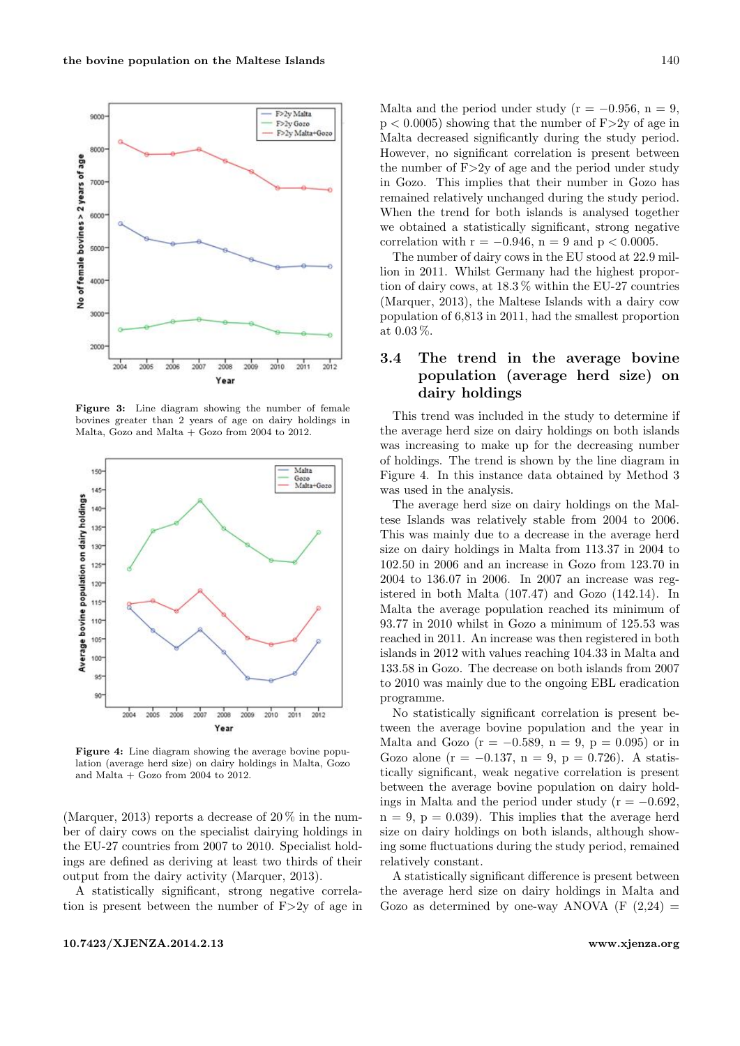<span id="page-4-0"></span>

Figure 3: Line diagram showing the number of female bovines greater than 2 years of age on dairy holdings in Malta, Gozo and Malta  $+$  Gozo from 2004 to 2012.

<span id="page-4-1"></span>

Figure 4: Line diagram showing the average bovine population (average herd size) on dairy holdings in Malta, Gozo and Malta + Gozo from 2004 to 2012.

(Marquer, [2013\)](#page-7-3) reports a decrease of  $20\%$  in the number of dairy cows on the specialist dairying holdings in the EU-27 countries from 2007 to 2010. Specialist holdings are defined as deriving at least two thirds of their output from the dairy activity (Marquer, [2013\)](#page-7-3).

A statistically significant, strong negative correlation is present between the number of  $F > 2y$  of age in Malta and the period under study ( $r = -0.956$ ,  $n = 9$ ,  $p < 0.0005$ ) showing that the number of  $F > 2y$  of age in Malta decreased significantly during the study period. However, no significant correlation is present between the number of  $F > 2y$  of age and the period under study in Gozo. This implies that their number in Gozo has remained relatively unchanged during the study period. When the trend for both islands is analysed together we obtained a statistically significant, strong negative correlation with  $r = -0.946$ ,  $n = 9$  and  $p < 0.0005$ .

The number of dairy cows in the EU stood at 22.9 million in 2011. Whilst Germany had the highest proportion of dairy cows, at 18.3 % within the EU-27 countries (Marquer, [2013\)](#page-7-3), the Maltese Islands with a dairy cow population of 6,813 in 2011, had the smallest proportion at 0.03 %.

### 3.4 The trend in the average bovine population (average herd size) on dairy holdings

This trend was included in the study to determine if the average herd size on dairy holdings on both islands was increasing to make up for the decreasing number of holdings. The trend is shown by the line diagram in Figure [4.](#page-4-1) In this instance data obtained by Method 3 was used in the analysis.

The average herd size on dairy holdings on the Maltese Islands was relatively stable from 2004 to 2006. This was mainly due to a decrease in the average herd size on dairy holdings in Malta from 113.37 in 2004 to 102.50 in 2006 and an increase in Gozo from 123.70 in 2004 to 136.07 in 2006. In 2007 an increase was registered in both Malta (107.47) and Gozo (142.14). In Malta the average population reached its minimum of 93.77 in 2010 whilst in Gozo a minimum of 125.53 was reached in 2011. An increase was then registered in both islands in 2012 with values reaching 104.33 in Malta and 133.58 in Gozo. The decrease on both islands from 2007 to 2010 was mainly due to the ongoing EBL eradication programme.

No statistically significant correlation is present between the average bovine population and the year in Malta and Gozo ( $r = -0.589$ ,  $n = 9$ ,  $p = 0.095$ ) or in Gozo alone ( $r = -0.137$ ,  $n = 9$ ,  $p = 0.726$ ). A statistically significant, weak negative correlation is present between the average bovine population on dairy holdings in Malta and the period under study ( $r = -0.692$ ,  $n = 9$ ,  $p = 0.039$ . This implies that the average herd size on dairy holdings on both islands, although showing some fluctuations during the study period, remained relatively constant.

A statistically significant difference is present between the average herd size on dairy holdings in Malta and Gozo as determined by one-way ANOVA  $(F (2.24) =$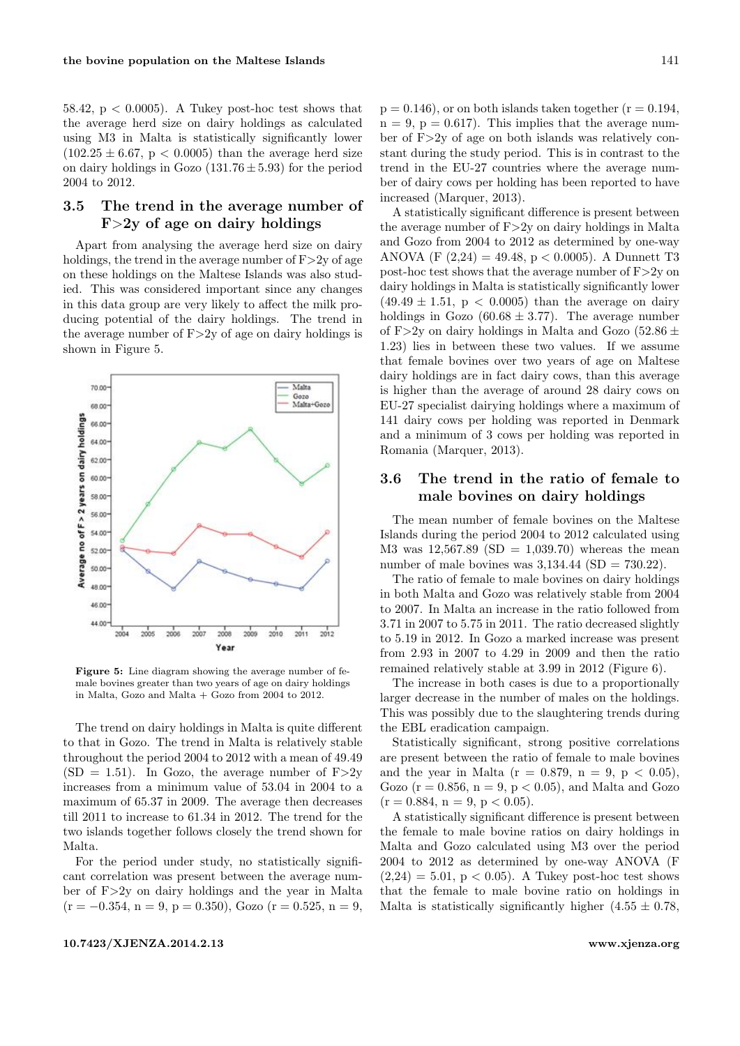58.42,  $p < 0.0005$ ). A Tukey post-hoc test shows that the average herd size on dairy holdings as calculated using M3 in Malta is statistically significantly lower  $(102.25 \pm 6.67, p < 0.0005)$  than the average herd size on dairy holdings in Gozo  $(131.76 \pm 5.93)$  for the period 2004 to 2012.

### 3.5 The trend in the average number of  $F>2y$  of age on dairy holdings

Apart from analysing the average herd size on dairy holdings, the trend in the average number of  $F > 2y$  of age on these holdings on the Maltese Islands was also studied. This was considered important since any changes in this data group are very likely to affect the milk producing potential of the dairy holdings. The trend in the average number of  $F>2y$  of age on dairy holdings is shown in Figure [5.](#page-5-0)

<span id="page-5-0"></span>

Figure 5: Line diagram showing the average number of female bovines greater than two years of age on dairy holdings in Malta, Gozo and Malta + Gozo from 2004 to 2012.

The trend on dairy holdings in Malta is quite different to that in Gozo. The trend in Malta is relatively stable throughout the period 2004 to 2012 with a mean of 49.49  $(SD = 1.51)$ . In Gozo, the average number of F $>2y$ increases from a minimum value of 53.04 in 2004 to a maximum of 65.37 in 2009. The average then decreases till 2011 to increase to 61.34 in 2012. The trend for the two islands together follows closely the trend shown for Malta.

For the period under study, no statistically significant correlation was present between the average number of F>2y on dairy holdings and the year in Malta  $(r = -0.354, n = 9, p = 0.350)$ , Gozo  $(r = 0.525, n = 9,$   $p = 0.146$ , or on both islands taken together  $(r = 0.194,$  $n = 9$ ,  $p = 0.617$ . This implies that the average number of F>2y of age on both islands was relatively constant during the study period. This is in contrast to the trend in the EU-27 countries where the average number of dairy cows per holding has been reported to have increased (Marquer, [2013\)](#page-7-3).

A statistically significant difference is present between the average number of  $F > 2y$  on dairy holdings in Malta and Gozo from 2004 to 2012 as determined by one-way ANOVA (F  $(2,24) = 49.48$ , p < 0.0005). A Dunnett T3 post-hoc test shows that the average number of F>2y on dairy holdings in Malta is statistically significantly lower  $(49.49 \pm 1.51, p < 0.0005)$  than the average on dairy holdings in Gozo  $(60.68 \pm 3.77)$ . The average number of F>2y on dairy holdings in Malta and Gozo (52.86  $\pm$ 1.23) lies in between these two values. If we assume that female bovines over two years of age on Maltese dairy holdings are in fact dairy cows, than this average is higher than the average of around 28 dairy cows on EU-27 specialist dairying holdings where a maximum of 141 dairy cows per holding was reported in Denmark and a minimum of 3 cows per holding was reported in Romania (Marquer, [2013\)](#page-7-3).

### 3.6 The trend in the ratio of female to male bovines on dairy holdings

The mean number of female bovines on the Maltese Islands during the period 2004 to 2012 calculated using M3 was  $12,567.89$  (SD = 1,039.70) whereas the mean number of male bovines was  $3,134.44$  (SD = 730.22).

The ratio of female to male bovines on dairy holdings in both Malta and Gozo was relatively stable from 2004 to 2007. In Malta an increase in the ratio followed from 3.71 in 2007 to 5.75 in 2011. The ratio decreased slightly to 5.19 in 2012. In Gozo a marked increase was present from 2.93 in 2007 to 4.29 in 2009 and then the ratio remained relatively stable at 3.99 in 2012 (Figure [6\)](#page-6-8).

The increase in both cases is due to a proportionally larger decrease in the number of males on the holdings. This was possibly due to the slaughtering trends during the EBL eradication campaign.

Statistically significant, strong positive correlations are present between the ratio of female to male bovines and the year in Malta ( $r = 0.879$ ,  $n = 9$ ,  $p < 0.05$ ), Gozo ( $r = 0.856$ ,  $n = 9$ ,  $p < 0.05$ ), and Malta and Gozo  $(r = 0.884, n = 9, p < 0.05).$ 

A statistically significant difference is present between the female to male bovine ratios on dairy holdings in Malta and Gozo calculated using M3 over the period 2004 to 2012 as determined by one-way ANOVA (F  $(2,24) = 5.01$ ,  $p < 0.05$ ). A Tukey post-hoc test shows that the female to male bovine ratio on holdings in Malta is statistically significantly higher  $(4.55 \pm 0.78,$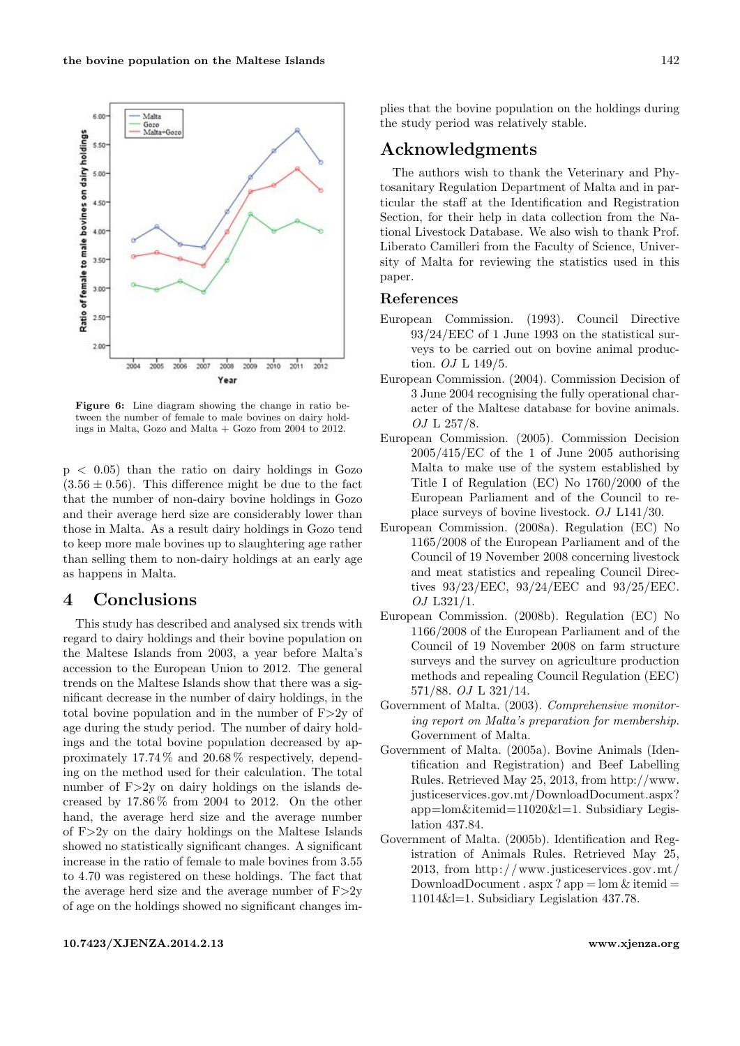<span id="page-6-8"></span>

Figure 6: Line diagram showing the change in ratio between the number of female to male bovines on dairy holdings in Malta, Gozo and Malta + Gozo from 2004 to 2012.

 $p \leq 0.05$ ) than the ratio on dairy holdings in Gozo  $(3.56 \pm 0.56)$ . This difference might be due to the fact that the number of non-dairy bovine holdings in Gozo and their average herd size are considerably lower than those in Malta. As a result dairy holdings in Gozo tend to keep more male bovines up to slaughtering age rather than selling them to non-dairy holdings at an early age as happens in Malta.

# 4 Conclusions

This study has described and analysed six trends with regard to dairy holdings and their bovine population on the Maltese Islands from 2003, a year before Malta's accession to the European Union to 2012. The general trends on the Maltese Islands show that there was a significant decrease in the number of dairy holdings, in the total bovine population and in the number of  $F > 2y$  of age during the study period. The number of dairy holdings and the total bovine population decreased by approximately 17.74 % and 20.68 % respectively, depending on the method used for their calculation. The total number of  $F>2y$  on dairy holdings on the islands decreased by  $17.86\%$  from 2004 to 2012. On the other hand, the average herd size and the average number of F>2y on the dairy holdings on the Maltese Islands showed no statistically significant changes. A significant increase in the ratio of female to male bovines from 3.55 to 4.70 was registered on these holdings. The fact that the average herd size and the average number of  $F > 2y$ of age on the holdings showed no significant changes implies that the bovine population on the holdings during the study period was relatively stable.

# Acknowledgments

The authors wish to thank the Veterinary and Phytosanitary Regulation Department of Malta and in particular the staff at the Identification and Registration Section, for their help in data collection from the National Livestock Database. We also wish to thank Prof. Liberato Camilleri from the Faculty of Science, University of Malta for reviewing the statistics used in this paper.

#### References

- <span id="page-6-3"></span>European Commission. (1993). Council Directive 93/24/EEC of 1 June 1993 on the statistical surveys to be carried out on bovine animal production. OJ L 149/5.
- <span id="page-6-1"></span>European Commission. (2004). Commission Decision of 3 June 2004 recognising the fully operational character of the Maltese database for bovine animals. OJ L 257/8.
- <span id="page-6-2"></span>European Commission. (2005). Commission Decision 2005/415/EC of the 1 of June 2005 authorising Malta to make use of the system established by Title I of Regulation (EC) No 1760/2000 of the European Parliament and of the Council to replace surveys of bovine livestock. OJ L141/30.
- <span id="page-6-6"></span>European Commission. (2008a). Regulation (EC) No 1165/2008 of the European Parliament and of the Council of 19 November 2008 concerning livestock and meat statistics and repealing Council Directives 93/23/EEC, 93/24/EEC and 93/25/EEC. OJ L321/1.
- <span id="page-6-7"></span>European Commission. (2008b). Regulation (EC) No 1166/2008 of the European Parliament and of the Council of 19 November 2008 on farm structure surveys and the survey on agriculture production methods and repealing Council Regulation (EEC) 571/88. OJ L 321/14.
- <span id="page-6-0"></span>Government of Malta. (2003). Comprehensive monitoring report on Malta's preparation for membership. Government of Malta.
- <span id="page-6-5"></span>Government of Malta. (2005a). Bovine Animals (Identification and Registration) and Beef Labelling Rules. Retrieved May 25, 2013, from [http://www.](http://www.justiceservices.gov.mt/DownloadDocument.aspx?app=lom&itemid=11020&l=1) [justiceservices.gov.mt/DownloadDocument.aspx?](http://www.justiceservices.gov.mt/DownloadDocument.aspx?app=lom&itemid=11020&l=1) [app=lom&itemid=11020&l=1.](http://www.justiceservices.gov.mt/DownloadDocument.aspx?app=lom&itemid=11020&l=1) Subsidiary Legislation 437.84.
- <span id="page-6-4"></span>Government of Malta. (2005b). Identification and Registration of Animals Rules. Retrieved May 25, 2013, from [http://www. justiceservices.gov.mt/](http://www.justiceservices.gov.mt/DownloadDocument.aspx?app=lom&itemid=11014&l=1) DownloadDocument . aspx? app =  $\text{lom } \& \text{ itemid } =$ [11014&l=1.](http://www.justiceservices.gov.mt/DownloadDocument.aspx?app=lom&itemid=11014&l=1) Subsidiary Legislation 437.78.